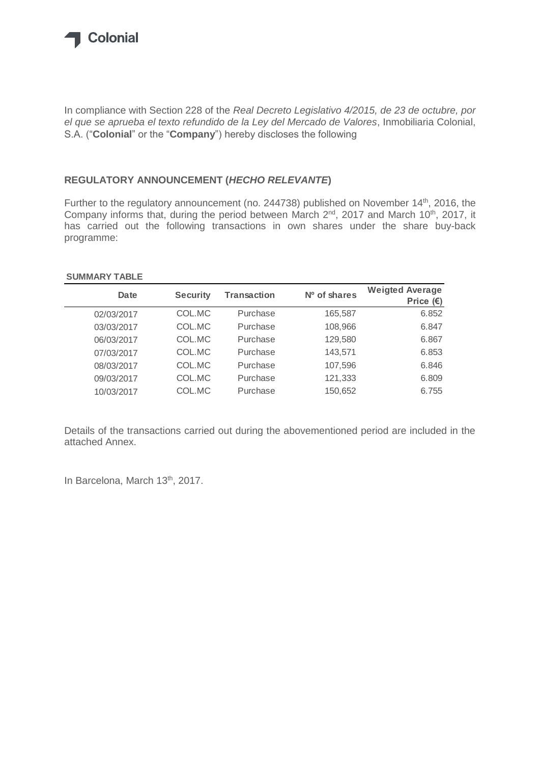

In compliance with Section 228 of the *Real Decreto Legislativo 4/2015, de 23 de octubre, por el que se aprueba el texto refundido de la Ley del Mercado de Valores*, Inmobiliaria Colonial, S.A. ("**Colonial**" or the "**Company**") hereby discloses the following

## **REGULATORY ANNOUNCEMENT (***HECHO RELEVANTE***)**

Further to the regulatory announcement (no. 244738) published on November 14<sup>th</sup>, 2016, the Company informs that, during the period between March 2<sup>nd</sup>, 2017 and March 10<sup>th</sup>, 2017, it has carried out the following transactions in own shares under the share buy-back programme:

## **SUMMARY TABLE**

| Date       | <b>Security</b> | <b>Transaction</b> | Nº of shares | <b>Weigted Average</b><br>Price $(E)$ |
|------------|-----------------|--------------------|--------------|---------------------------------------|
| 02/03/2017 | COL.MC          | Purchase           | 165,587      | 6.852                                 |
| 03/03/2017 | COL.MC          | Purchase           | 108,966      | 6.847                                 |
| 06/03/2017 | COL.MC          | Purchase           | 129,580      | 6.867                                 |
| 07/03/2017 | COL.MC          | Purchase           | 143,571      | 6.853                                 |
| 08/03/2017 | COL.MC          | Purchase           | 107,596      | 6.846                                 |
| 09/03/2017 | COL.MC          | Purchase           | 121,333      | 6.809                                 |
| 10/03/2017 | COL.MC          | Purchase           | 150,652      | 6.755                                 |

Details of the transactions carried out during the abovementioned period are included in the attached Annex.

In Barcelona, March 13<sup>th</sup>, 2017.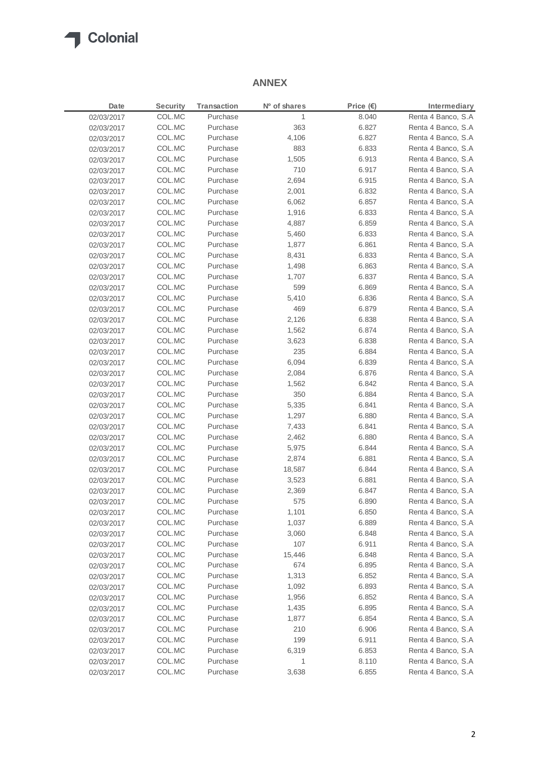

## **ANNEX**

| Date       | Security | <b>Transaction</b> | Nº of shares | Price $(E)$ | Intermediary       |
|------------|----------|--------------------|--------------|-------------|--------------------|
| 02/03/2017 | COL.MC   | Purchase           | 1            | 8.040       | Renta 4 Banco, S.A |
| 02/03/2017 | COL.MC   | Purchase           | 363          | 6.827       | Renta 4 Banco, S.A |
| 02/03/2017 | COL.MC   | Purchase           | 4,106        | 6.827       | Renta 4 Banco, S.A |
| 02/03/2017 | COL.MC   | Purchase           | 883          | 6.833       | Renta 4 Banco, S.A |
| 02/03/2017 | COL.MC   | Purchase           | 1,505        | 6.913       | Renta 4 Banco, S.A |
| 02/03/2017 | COL.MC   | Purchase           | 710          | 6.917       | Renta 4 Banco, S.A |
| 02/03/2017 | COL.MC   | Purchase           | 2,694        | 6.915       | Renta 4 Banco, S.A |
| 02/03/2017 | COL.MC   | Purchase           | 2,001        | 6.832       | Renta 4 Banco, S.A |
| 02/03/2017 | COL.MC   | Purchase           | 6,062        | 6.857       | Renta 4 Banco, S.A |
| 02/03/2017 | COL.MC   | Purchase           | 1,916        | 6.833       | Renta 4 Banco, S.A |
| 02/03/2017 | COL.MC   | Purchase           | 4,887        | 6.859       | Renta 4 Banco, S.A |
| 02/03/2017 | COL.MC   | Purchase           | 5,460        | 6.833       | Renta 4 Banco, S.A |
| 02/03/2017 | COL.MC   | Purchase           | 1,877        | 6.861       | Renta 4 Banco, S.A |
| 02/03/2017 | COL.MC   | Purchase           | 8,431        | 6.833       | Renta 4 Banco, S.A |
| 02/03/2017 | COL.MC   | Purchase           | 1,498        | 6.863       | Renta 4 Banco, S.A |
| 02/03/2017 | COL.MC   | Purchase           | 1,707        | 6.837       | Renta 4 Banco, S.A |
| 02/03/2017 | COL.MC   | Purchase           | 599          | 6.869       | Renta 4 Banco, S.A |
| 02/03/2017 | COL.MC   | Purchase           | 5,410        | 6.836       | Renta 4 Banco, S.A |
| 02/03/2017 | COL.MC   | Purchase           | 469          | 6.879       | Renta 4 Banco, S.A |
| 02/03/2017 | COL.MC   | Purchase           | 2,126        | 6.838       | Renta 4 Banco, S.A |
| 02/03/2017 | COL.MC   | Purchase           | 1,562        | 6.874       | Renta 4 Banco, S.A |
| 02/03/2017 | COL.MC   | Purchase           | 3,623        | 6.838       | Renta 4 Banco, S.A |
| 02/03/2017 | COL.MC   | Purchase           | 235          | 6.884       | Renta 4 Banco, S.A |
| 02/03/2017 | COL.MC   | Purchase           | 6,094        | 6.839       | Renta 4 Banco, S.A |
| 02/03/2017 | COL.MC   | Purchase           | 2,084        | 6.876       | Renta 4 Banco, S.A |
| 02/03/2017 | COL.MC   | Purchase           | 1,562        | 6.842       | Renta 4 Banco, S.A |
| 02/03/2017 | COL.MC   | Purchase           | 350          | 6.884       | Renta 4 Banco, S.A |
| 02/03/2017 | COL.MC   | Purchase           | 5,335        | 6.841       | Renta 4 Banco, S.A |
| 02/03/2017 | COL.MC   | Purchase           | 1,297        | 6.880       | Renta 4 Banco, S.A |
| 02/03/2017 | COL.MC   | Purchase           | 7,433        | 6.841       | Renta 4 Banco, S.A |
| 02/03/2017 | COL.MC   | Purchase           | 2,462        | 6.880       | Renta 4 Banco, S.A |
| 02/03/2017 | COL.MC   | Purchase           | 5,975        | 6.844       | Renta 4 Banco, S.A |
| 02/03/2017 | COL.MC   | Purchase           | 2,874        | 6.881       | Renta 4 Banco, S.A |
| 02/03/2017 | COL.MC   | Purchase           | 18,587       | 6.844       | Renta 4 Banco, S.A |
| 02/03/2017 | COL.MC   | Purchase           | 3,523        | 6.881       | Renta 4 Banco, S.A |
| 02/03/2017 | COL.MC   | Purchase           | 2,369        | 6.847       | Renta 4 Banco, S.A |
| 02/03/2017 | COL.MC   | Purchase           | 575          | 6.890       | Renta 4 Banco, S.A |
| 02/03/2017 | COL.MC   | Purchase           | 1,101        | 6.850       | Renta 4 Banco, S.A |
| 02/03/2017 | COL.MC   | Purchase           | 1,037        | 6.889       | Renta 4 Banco, S.A |
| 02/03/2017 | COL.MC   | Purchase           | 3,060        | 6.848       | Renta 4 Banco, S.A |
| 02/03/2017 | COL.MC   | Purchase           | 107          | 6.911       | Renta 4 Banco, S.A |
| 02/03/2017 | COL.MC   | Purchase           | 15,446       | 6.848       | Renta 4 Banco, S.A |
| 02/03/2017 | COL.MC   | Purchase           | 674          | 6.895       | Renta 4 Banco, S.A |
| 02/03/2017 | COL.MC   | Purchase           | 1,313        | 6.852       | Renta 4 Banco, S.A |
| 02/03/2017 | COL.MC   | Purchase           | 1,092        | 6.893       | Renta 4 Banco, S.A |
| 02/03/2017 | COL.MC   | Purchase           | 1,956        | 6.852       | Renta 4 Banco, S.A |
| 02/03/2017 | COL.MC   | Purchase           | 1,435        | 6.895       | Renta 4 Banco, S.A |
| 02/03/2017 | COL.MC   | Purchase           | 1,877        | 6.854       | Renta 4 Banco, S.A |
| 02/03/2017 | COL.MC   | Purchase           | 210          | 6.906       | Renta 4 Banco, S.A |
| 02/03/2017 | COL.MC   | Purchase           | 199          | 6.911       | Renta 4 Banco, S.A |
| 02/03/2017 | COL.MC   | Purchase           | 6,319        | 6.853       | Renta 4 Banco, S.A |
| 02/03/2017 | COL.MC   | Purchase           | 1            | 8.110       | Renta 4 Banco, S.A |
| 02/03/2017 | COL.MC   | Purchase           | 3,638        | 6.855       | Renta 4 Banco, S.A |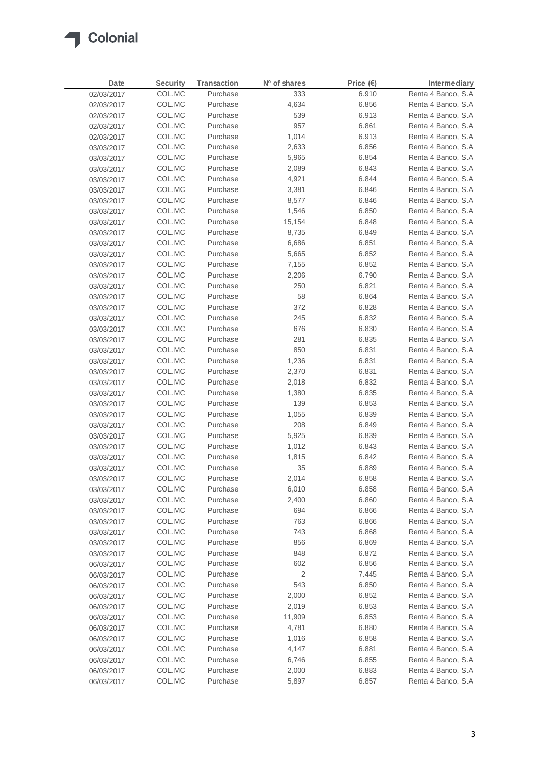

| Date       | <b>Security</b> | <b>Transaction</b> | Nº of shares | Price $(\epsilon)$ | Intermediary       |
|------------|-----------------|--------------------|--------------|--------------------|--------------------|
| 02/03/2017 | COL.MC          | Purchase           | 333          | 6.910              | Renta 4 Banco, S.A |
| 02/03/2017 | COL.MC          | Purchase           | 4,634        | 6.856              | Renta 4 Banco, S.A |
| 02/03/2017 | COL.MC          | Purchase           | 539          | 6.913              | Renta 4 Banco, S.A |
| 02/03/2017 | COL.MC          | Purchase           | 957          | 6.861              | Renta 4 Banco, S.A |
| 02/03/2017 | COL.MC          | Purchase           | 1,014        | 6.913              | Renta 4 Banco, S.A |
| 03/03/2017 | COL.MC          | Purchase           | 2,633        | 6.856              | Renta 4 Banco, S.A |
| 03/03/2017 | COL.MC          | Purchase           | 5,965        | 6.854              | Renta 4 Banco, S.A |
| 03/03/2017 | COL.MC          | Purchase           | 2,089        | 6.843              | Renta 4 Banco, S.A |
| 03/03/2017 | COL.MC          | Purchase           | 4,921        | 6.844              | Renta 4 Banco, S.A |
| 03/03/2017 | COL.MC          | Purchase           | 3,381        | 6.846              | Renta 4 Banco, S.A |
| 03/03/2017 | COL.MC          | Purchase           | 8,577        | 6.846              | Renta 4 Banco, S.A |
| 03/03/2017 | COL.MC          | Purchase           | 1,546        | 6.850              | Renta 4 Banco, S.A |
| 03/03/2017 | COL.MC          | Purchase           | 15,154       | 6.848              | Renta 4 Banco, S.A |
| 03/03/2017 | COL.MC          | Purchase           | 8,735        | 6.849              | Renta 4 Banco, S.A |
| 03/03/2017 | COL.MC          | Purchase           | 6,686        | 6.851              | Renta 4 Banco, S.A |
| 03/03/2017 | COL.MC          | Purchase           | 5,665        | 6.852              | Renta 4 Banco, S.A |
| 03/03/2017 | COL.MC          | Purchase           | 7,155        | 6.852              | Renta 4 Banco, S.A |
| 03/03/2017 | COL.MC          | Purchase           | 2,206        | 6.790              | Renta 4 Banco, S.A |
| 03/03/2017 | COL.MC          | Purchase           | 250          | 6.821              | Renta 4 Banco, S.A |
| 03/03/2017 | COL.MC          | Purchase           | 58           | 6.864              | Renta 4 Banco, S.A |
| 03/03/2017 | COL.MC          | Purchase           | 372          | 6.828              | Renta 4 Banco, S.A |
| 03/03/2017 | COL.MC          | Purchase           | 245          | 6.832              | Renta 4 Banco, S.A |
| 03/03/2017 | COL.MC          | Purchase           | 676          | 6.830              | Renta 4 Banco, S.A |
| 03/03/2017 | COL.MC          | Purchase           | 281          | 6.835              | Renta 4 Banco, S.A |
| 03/03/2017 | COL.MC          | Purchase           | 850          | 6.831              | Renta 4 Banco, S.A |
| 03/03/2017 | COL.MC          | Purchase           | 1,236        | 6.831              | Renta 4 Banco, S.A |
| 03/03/2017 | COL.MC          | Purchase           | 2,370        | 6.831              | Renta 4 Banco, S.A |
| 03/03/2017 | COL.MC          | Purchase           | 2,018        | 6.832              | Renta 4 Banco, S.A |
| 03/03/2017 | COL.MC          | Purchase           | 1,380        | 6.835              | Renta 4 Banco, S.A |
| 03/03/2017 | COL.MC          | Purchase           | 139          | 6.853              | Renta 4 Banco, S.A |
| 03/03/2017 | COL.MC          | Purchase           | 1,055        | 6.839              | Renta 4 Banco, S.A |
| 03/03/2017 | COL.MC          | Purchase           | 208          | 6.849              | Renta 4 Banco, S.A |
| 03/03/2017 | COL.MC          | Purchase           | 5,925        | 6.839              | Renta 4 Banco, S.A |
| 03/03/2017 | COL.MC          | Purchase           | 1,012        | 6.843              | Renta 4 Banco, S.A |
| 03/03/2017 | COL.MC          | Purchase           | 1,815        | 6.842              | Renta 4 Banco, S.A |
| 03/03/2017 | COL.MC          | Purchase           | 35           | 6.889              | Renta 4 Banco, S.A |
| 03/03/2017 | COL.MC          | Purchase           | 2,014        | 6.858              | Renta 4 Banco, S.A |
| 03/03/2017 | COL.MC          | Purchase           | 6,010        | 6.858              | Renta 4 Banco, S.A |
| 03/03/2017 | COL.MC          | Purchase           | 2,400        | 6.860              | Renta 4 Banco, S.A |
| 03/03/2017 | COL.MC          | Purchase           | 694          | 6.866              | Renta 4 Banco, S.A |
| 03/03/2017 | COL.MC          | Purchase           | 763          | 6.866              | Renta 4 Banco, S.A |
| 03/03/2017 | COL.MC          | Purchase           | 743          | 6.868              | Renta 4 Banco, S.A |
| 03/03/2017 | COL.MC          | Purchase           | 856          | 6.869              | Renta 4 Banco, S.A |
| 03/03/2017 | COL.MC          | Purchase           | 848          | 6.872              | Renta 4 Banco, S.A |
| 06/03/2017 | COL.MC          | Purchase           | 602          | 6.856              | Renta 4 Banco, S.A |
| 06/03/2017 | COL.MC          | Purchase           | 2            | 7.445              | Renta 4 Banco, S.A |
| 06/03/2017 | COL.MC          | Purchase           | 543          | 6.850              | Renta 4 Banco, S.A |
| 06/03/2017 | COL.MC          | Purchase           | 2,000        | 6.852              | Renta 4 Banco, S.A |
| 06/03/2017 | COL.MC          | Purchase           | 2,019        | 6.853              | Renta 4 Banco, S.A |
| 06/03/2017 | COL.MC          | Purchase           | 11,909       | 6.853              | Renta 4 Banco, S.A |
| 06/03/2017 | COL.MC          | Purchase           | 4,781        | 6.880              | Renta 4 Banco, S.A |
| 06/03/2017 | COL.MC          | Purchase           | 1,016        | 6.858              | Renta 4 Banco, S.A |
| 06/03/2017 | COL.MC          | Purchase           | 4,147        | 6.881              | Renta 4 Banco, S.A |
| 06/03/2017 | COL.MC          | Purchase           | 6,746        | 6.855              | Renta 4 Banco, S.A |
| 06/03/2017 | COL.MC          | Purchase           | 2,000        | 6.883              | Renta 4 Banco, S.A |
| 06/03/2017 | COL.MC          | Purchase           | 5,897        | 6.857              | Renta 4 Banco, S.A |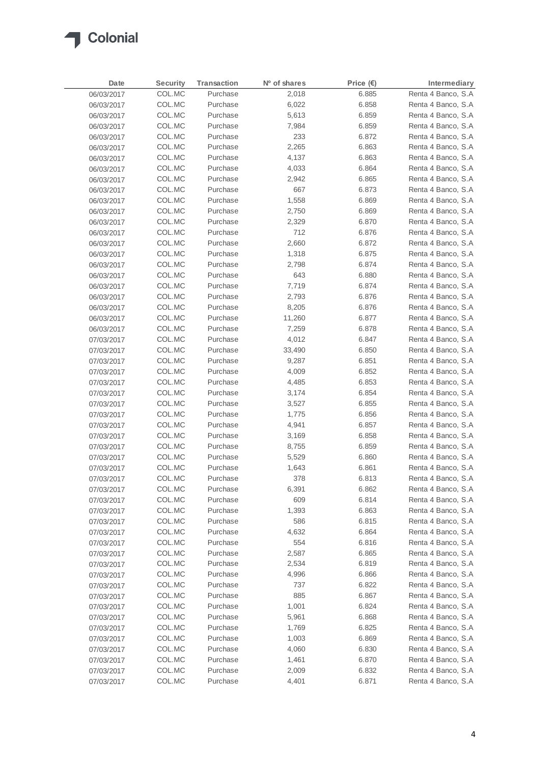

| Date       | <b>Security</b> | <b>Transaction</b> | Nº of shares | Price (€) | Intermediary        |
|------------|-----------------|--------------------|--------------|-----------|---------------------|
| 06/03/2017 | COL.MC          | Purchase           | 2,018        | 6.885     | Renta 4 Banco, S.A  |
| 06/03/2017 | COL.MC          | Purchase           | 6,022        | 6.858     | Renta 4 Banco, S.A  |
| 06/03/2017 | COL.MC          | Purchase           | 5,613        | 6.859     | Renta 4 Banco, S.A  |
| 06/03/2017 | COL.MC          | Purchase           | 7,984        | 6.859     | Renta 4 Banco, S.A  |
| 06/03/2017 | COL.MC          | Purchase           | 233          | 6.872     | Renta 4 Banco, S.A  |
| 06/03/2017 | COL.MC          | Purchase           | 2,265        | 6.863     | Renta 4 Banco, S.A  |
| 06/03/2017 | COL.MC          | Purchase           | 4,137        | 6.863     | Renta 4 Banco, S.A  |
| 06/03/2017 | COL.MC          | Purchase           | 4,033        | 6.864     | Renta 4 Banco, S.A  |
| 06/03/2017 | COL.MC          | Purchase           | 2,942        | 6.865     | Renta 4 Banco, S.A. |
| 06/03/2017 | COL.MC          | Purchase           | 667          | 6.873     | Renta 4 Banco, S.A  |
| 06/03/2017 | COL.MC          | Purchase           | 1,558        | 6.869     | Renta 4 Banco, S.A  |
| 06/03/2017 | COL.MC          | Purchase           | 2,750        | 6.869     | Renta 4 Banco, S.A  |
| 06/03/2017 | COL.MC          | Purchase           | 2,329        | 6.870     | Renta 4 Banco, S.A  |
| 06/03/2017 | COL.MC          | Purchase           | 712          | 6.876     | Renta 4 Banco, S.A  |
| 06/03/2017 | COL.MC          | Purchase           | 2,660        | 6.872     | Renta 4 Banco, S.A  |
| 06/03/2017 | COL.MC          | Purchase           | 1,318        | 6.875     | Renta 4 Banco, S.A  |
| 06/03/2017 | COL.MC          | Purchase           | 2,798        | 6.874     | Renta 4 Banco, S.A  |
| 06/03/2017 | COL.MC          | Purchase           | 643          | 6.880     | Renta 4 Banco, S.A  |
| 06/03/2017 | COL.MC          | Purchase           | 7,719        | 6.874     | Renta 4 Banco, S.A  |
| 06/03/2017 | COL.MC          | Purchase           | 2,793        | 6.876     | Renta 4 Banco, S.A  |
| 06/03/2017 | COL.MC          | Purchase           | 8,205        | 6.876     | Renta 4 Banco, S.A  |
| 06/03/2017 | COL.MC          | Purchase           | 11,260       | 6.877     | Renta 4 Banco, S.A  |
| 06/03/2017 | COL.MC          | Purchase           | 7,259        | 6.878     | Renta 4 Banco, S.A  |
| 07/03/2017 | COL.MC          | Purchase           | 4,012        | 6.847     | Renta 4 Banco, S.A  |
| 07/03/2017 | COL.MC          | Purchase           | 33,490       | 6.850     | Renta 4 Banco, S.A  |
| 07/03/2017 | COL.MC          | Purchase           | 9,287        | 6.851     | Renta 4 Banco, S.A  |
| 07/03/2017 | COL.MC          | Purchase           | 4,009        | 6.852     | Renta 4 Banco, S.A  |
| 07/03/2017 | COL.MC          | Purchase           | 4,485        | 6.853     | Renta 4 Banco, S.A  |
| 07/03/2017 | COL.MC          | Purchase           | 3,174        | 6.854     | Renta 4 Banco, S.A  |
| 07/03/2017 | COL.MC          | Purchase           | 3,527        | 6.855     | Renta 4 Banco, S.A  |
| 07/03/2017 | COL.MC          | Purchase           | 1,775        | 6.856     | Renta 4 Banco, S.A  |
| 07/03/2017 | COL.MC          | Purchase           | 4,941        | 6.857     | Renta 4 Banco, S.A  |
| 07/03/2017 | COL.MC          | Purchase           | 3,169        | 6.858     | Renta 4 Banco, S.A  |
| 07/03/2017 | COL.MC          | Purchase           | 8,755        | 6.859     | Renta 4 Banco, S.A  |
| 07/03/2017 | COL.MC          | Purchase           | 5,529        | 6.860     | Renta 4 Banco, S.A  |
| 07/03/2017 | COL.MC          | Purchase           | 1,643        | 6.861     | Renta 4 Banco, S.A. |
| 07/03/2017 | COL.MC          | Purchase           | 378          | 6.813     | Renta 4 Banco, S.A  |
| 07/03/2017 | COL.MC          | Purchase           | 6,391        | 6.862     | Renta 4 Banco, S.A  |
| 07/03/2017 | COL.MC          | Purchase           | 609          | 6.814     | Renta 4 Banco, S.A  |
| 07/03/2017 | COL.MC          | Purchase           | 1,393        | 6.863     | Renta 4 Banco, S.A  |
| 07/03/2017 | COL.MC          | Purchase           | 586          | 6.815     | Renta 4 Banco, S.A  |
| 07/03/2017 | COL.MC          | Purchase           | 4,632        | 6.864     | Renta 4 Banco, S.A  |
| 07/03/2017 | COL.MC          | Purchase           | 554          | 6.816     | Renta 4 Banco, S.A. |
| 07/03/2017 | COL.MC          | Purchase           | 2,587        | 6.865     | Renta 4 Banco, S.A  |
| 07/03/2017 | COL.MC          | Purchase           | 2,534        | 6.819     | Renta 4 Banco, S.A  |
| 07/03/2017 | COL.MC          | Purchase           | 4,996        | 6.866     | Renta 4 Banco, S.A  |
| 07/03/2017 | COL.MC          | Purchase           | 737          | 6.822     | Renta 4 Banco, S.A  |
| 07/03/2017 | COL.MC          | Purchase           | 885          | 6.867     | Renta 4 Banco, S.A  |
| 07/03/2017 | COL.MC          | Purchase           | 1,001        | 6.824     | Renta 4 Banco, S.A  |
| 07/03/2017 | COL.MC          | Purchase           | 5,961        | 6.868     | Renta 4 Banco, S.A  |
| 07/03/2017 | COL.MC          | Purchase           | 1,769        | 6.825     | Renta 4 Banco, S.A  |
| 07/03/2017 | COL.MC          | Purchase           | 1,003        | 6.869     | Renta 4 Banco, S.A  |
| 07/03/2017 | COL.MC          | Purchase           | 4,060        | 6.830     | Renta 4 Banco, S.A  |
| 07/03/2017 | COL.MC          | Purchase           | 1,461        | 6.870     | Renta 4 Banco, S.A  |
| 07/03/2017 | COL.MC          | Purchase           | 2,009        | 6.832     | Renta 4 Banco, S.A  |
| 07/03/2017 | COL.MC          | Purchase           | 4,401        | 6.871     | Renta 4 Banco, S.A. |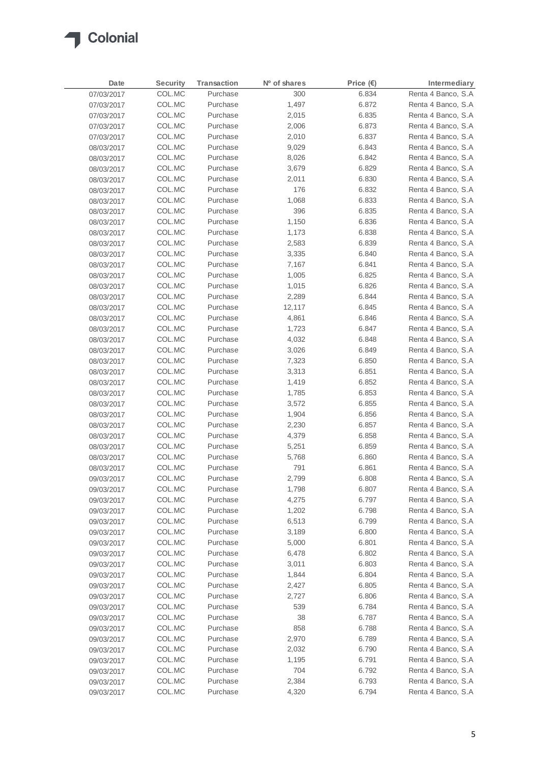

| Date       | <b>Security</b> | <b>Transaction</b> | Nº of shares | Price $(E)$ | Intermediary        |
|------------|-----------------|--------------------|--------------|-------------|---------------------|
| 07/03/2017 | COL.MC          | Purchase           | 300          | 6.834       | Renta 4 Banco, S.A  |
| 07/03/2017 | COL.MC          | Purchase           | 1,497        | 6.872       | Renta 4 Banco, S.A  |
| 07/03/2017 | COL.MC          | Purchase           | 2,015        | 6.835       | Renta 4 Banco, S.A  |
| 07/03/2017 | COL.MC          | Purchase           | 2,006        | 6.873       | Renta 4 Banco, S.A  |
| 07/03/2017 | COL.MC          | Purchase           | 2,010        | 6.837       | Renta 4 Banco, S.A  |
| 08/03/2017 | COL.MC          | Purchase           | 9,029        | 6.843       | Renta 4 Banco, S.A  |
| 08/03/2017 | COL.MC          | Purchase           | 8,026        | 6.842       | Renta 4 Banco, S.A  |
| 08/03/2017 | COL.MC          | Purchase           | 3,679        | 6.829       | Renta 4 Banco, S.A  |
| 08/03/2017 | COL.MC          | Purchase           | 2,011        | 6.830       | Renta 4 Banco, S.A  |
| 08/03/2017 | COL.MC          | Purchase           | 176          | 6.832       | Renta 4 Banco, S.A  |
| 08/03/2017 | COL.MC          | Purchase           | 1,068        | 6.833       | Renta 4 Banco, S.A  |
| 08/03/2017 | COL.MC          | Purchase           | 396          | 6.835       | Renta 4 Banco, S.A  |
| 08/03/2017 | COL.MC          | Purchase           | 1,150        | 6.836       | Renta 4 Banco, S.A  |
| 08/03/2017 | COL.MC          | Purchase           | 1,173        | 6.838       | Renta 4 Banco, S.A  |
| 08/03/2017 | COL.MC          | Purchase           | 2,583        | 6.839       | Renta 4 Banco, S.A  |
| 08/03/2017 | COL.MC          | Purchase           | 3,335        | 6.840       | Renta 4 Banco, S.A  |
| 08/03/2017 | COL.MC          | Purchase           | 7,167        | 6.841       | Renta 4 Banco, S.A  |
| 08/03/2017 | COL.MC          | Purchase           | 1,005        | 6.825       | Renta 4 Banco, S.A  |
| 08/03/2017 | COL.MC          | Purchase           | 1,015        | 6.826       | Renta 4 Banco, S.A  |
| 08/03/2017 | COL.MC          | Purchase           | 2,289        | 6.844       | Renta 4 Banco, S.A  |
| 08/03/2017 | COL.MC          | Purchase           | 12,117       | 6.845       | Renta 4 Banco, S.A  |
| 08/03/2017 | COL.MC          | Purchase           | 4,861        | 6.846       | Renta 4 Banco, S.A  |
| 08/03/2017 | COL.MC          | Purchase           | 1,723        | 6.847       | Renta 4 Banco, S.A  |
| 08/03/2017 | COL.MC          | Purchase           | 4,032        | 6.848       | Renta 4 Banco, S.A  |
| 08/03/2017 | COL.MC          | Purchase           | 3,026        | 6.849       | Renta 4 Banco, S.A  |
| 08/03/2017 | COL.MC          | Purchase           | 7,323        | 6.850       | Renta 4 Banco, S.A  |
| 08/03/2017 | COL.MC          | Purchase           | 3,313        | 6.851       | Renta 4 Banco, S.A  |
| 08/03/2017 | COL.MC          | Purchase           | 1,419        | 6.852       | Renta 4 Banco, S.A  |
| 08/03/2017 | COL.MC          | Purchase           | 1,785        | 6.853       | Renta 4 Banco, S.A  |
| 08/03/2017 | COL.MC          | Purchase           | 3,572        | 6.855       | Renta 4 Banco, S.A  |
| 08/03/2017 | COL.MC          | Purchase           | 1,904        | 6.856       | Renta 4 Banco, S.A  |
| 08/03/2017 | COL.MC          | Purchase           | 2,230        | 6.857       | Renta 4 Banco, S.A  |
| 08/03/2017 | COL.MC          | Purchase           | 4,379        | 6.858       | Renta 4 Banco, S.A  |
| 08/03/2017 | COL.MC          | Purchase           | 5,251        | 6.859       | Renta 4 Banco, S.A  |
| 08/03/2017 | COL.MC          | Purchase           | 5,768        | 6.860       | Renta 4 Banco, S.A  |
| 08/03/2017 | COL.MC          | Purchase           | 791          | 6.861       | Renta 4 Banco, S.A  |
| 09/03/2017 | COL.MC          | Purchase           | 2,799        | 6.808       | Renta 4 Banco, S.A  |
| 09/03/2017 | COL.MC          | Purchase           | 1,798        | 6.807       | Renta 4 Banco, S.A  |
| 09/03/2017 | COL.MC          | Purchase           | 4,275        | 6.797       | Renta 4 Banco, S.A  |
| 09/03/2017 | COL.MC          | Purchase           | 1,202        | 6.798       | Renta 4 Banco, S.A  |
| 09/03/2017 | COL.MC          | Purchase           | 6,513        | 6.799       | Renta 4 Banco, S.A  |
| 09/03/2017 | COL.MC          | Purchase           | 3,189        | 6.800       | Renta 4 Banco, S.A  |
| 09/03/2017 | COL.MC          | Purchase           | 5,000        | 6.801       | Renta 4 Banco, S.A. |
| 09/03/2017 | COL.MC          | Purchase           | 6,478        | 6.802       | Renta 4 Banco, S.A  |
| 09/03/2017 | COL.MC          | Purchase           | 3,011        | 6.803       | Renta 4 Banco, S.A  |
| 09/03/2017 | COL.MC          | Purchase           | 1,844        | 6.804       | Renta 4 Banco, S.A  |
| 09/03/2017 | COL.MC          | Purchase           | 2,427        | 6.805       | Renta 4 Banco, S.A  |
| 09/03/2017 | COL.MC          | Purchase           | 2,727        | 6.806       | Renta 4 Banco, S.A  |
| 09/03/2017 | COL.MC          | Purchase           | 539          | 6.784       | Renta 4 Banco, S.A  |
| 09/03/2017 | COL.MC          | Purchase           | 38           | 6.787       | Renta 4 Banco, S.A  |
| 09/03/2017 | COL.MC          | Purchase           | 858          | 6.788       | Renta 4 Banco, S.A  |
| 09/03/2017 | COL.MC          | Purchase           | 2,970        | 6.789       | Renta 4 Banco, S.A. |
| 09/03/2017 | COL.MC          | Purchase           | 2,032        | 6.790       | Renta 4 Banco, S.A  |
| 09/03/2017 | COL.MC          | Purchase           | 1,195        | 6.791       | Renta 4 Banco, S.A  |
| 09/03/2017 | COL.MC          | Purchase           | 704          | 6.792       | Renta 4 Banco, S.A  |
| 09/03/2017 | COL.MC          | Purchase           | 2,384        | 6.793       | Renta 4 Banco, S.A  |
| 09/03/2017 | COL.MC          | Purchase           | 4,320        | 6.794       | Renta 4 Banco, S.A  |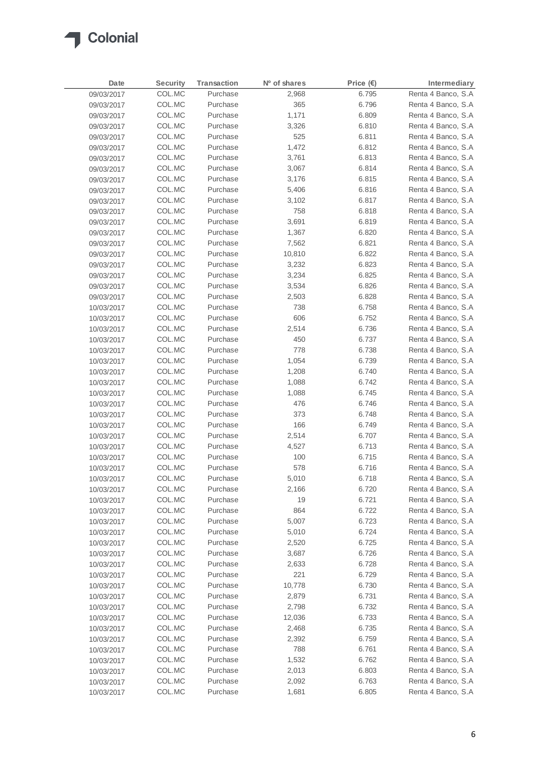

| Date       | Security | Transaction | Nº of shares | Price $(E)$ | Intermediary        |
|------------|----------|-------------|--------------|-------------|---------------------|
| 09/03/2017 | COL.MC   | Purchase    | 2,968        | 6.795       | Renta 4 Banco, S.A  |
| 09/03/2017 | COL.MC   | Purchase    | 365          | 6.796       | Renta 4 Banco, S.A  |
| 09/03/2017 | COL.MC   | Purchase    | 1,171        | 6.809       | Renta 4 Banco, S.A  |
| 09/03/2017 | COL.MC   | Purchase    | 3,326        | 6.810       | Renta 4 Banco, S.A  |
| 09/03/2017 | COL.MC   | Purchase    | 525          | 6.811       | Renta 4 Banco, S.A  |
| 09/03/2017 | COL.MC   | Purchase    | 1,472        | 6.812       | Renta 4 Banco, S.A  |
| 09/03/2017 | COL.MC   | Purchase    | 3,761        | 6.813       | Renta 4 Banco, S.A  |
| 09/03/2017 | COL.MC   | Purchase    | 3,067        | 6.814       | Renta 4 Banco, S.A  |
| 09/03/2017 | COL.MC   | Purchase    | 3,176        | 6.815       | Renta 4 Banco, S.A  |
| 09/03/2017 | COL.MC   | Purchase    | 5,406        | 6.816       | Renta 4 Banco, S.A  |
| 09/03/2017 | COL.MC   | Purchase    | 3,102        | 6.817       | Renta 4 Banco, S.A  |
| 09/03/2017 | COL.MC   | Purchase    | 758          | 6.818       | Renta 4 Banco, S.A  |
| 09/03/2017 | COL.MC   | Purchase    | 3,691        | 6.819       | Renta 4 Banco, S.A  |
| 09/03/2017 | COL.MC   | Purchase    | 1,367        | 6.820       | Renta 4 Banco, S.A  |
| 09/03/2017 | COL.MC   | Purchase    | 7,562        | 6.821       | Renta 4 Banco, S.A  |
| 09/03/2017 | COL.MC   | Purchase    | 10,810       | 6.822       | Renta 4 Banco, S.A  |
| 09/03/2017 | COL.MC   | Purchase    | 3,232        | 6.823       | Renta 4 Banco, S.A  |
| 09/03/2017 | COL.MC   | Purchase    | 3,234        | 6.825       | Renta 4 Banco, S.A  |
| 09/03/2017 | COL.MC   | Purchase    | 3,534        | 6.826       | Renta 4 Banco, S.A  |
| 09/03/2017 | COL.MC   | Purchase    | 2,503        | 6.828       | Renta 4 Banco, S.A  |
| 10/03/2017 | COL.MC   | Purchase    | 738          | 6.758       | Renta 4 Banco, S.A  |
| 10/03/2017 | COL.MC   | Purchase    | 606          | 6.752       | Renta 4 Banco, S.A  |
| 10/03/2017 | COL.MC   | Purchase    | 2,514        | 6.736       | Renta 4 Banco, S.A  |
| 10/03/2017 | COL.MC   | Purchase    | 450          | 6.737       | Renta 4 Banco, S.A  |
| 10/03/2017 | COL.MC   | Purchase    | 778          | 6.738       | Renta 4 Banco, S.A  |
| 10/03/2017 | COL.MC   | Purchase    | 1,054        | 6.739       | Renta 4 Banco, S.A  |
| 10/03/2017 | COL.MC   | Purchase    | 1,208        | 6.740       | Renta 4 Banco, S.A  |
| 10/03/2017 | COL.MC   | Purchase    | 1,088        | 6.742       | Renta 4 Banco, S.A  |
| 10/03/2017 | COL.MC   | Purchase    | 1,088        | 6.745       | Renta 4 Banco, S.A  |
| 10/03/2017 | COL.MC   | Purchase    | 476          | 6.746       | Renta 4 Banco, S.A  |
| 10/03/2017 | COL.MC   | Purchase    | 373          | 6.748       | Renta 4 Banco, S.A  |
| 10/03/2017 | COL.MC   | Purchase    | 166          | 6.749       | Renta 4 Banco, S.A  |
| 10/03/2017 | COL.MC   | Purchase    | 2,514        | 6.707       | Renta 4 Banco, S.A  |
| 10/03/2017 | COL.MC   | Purchase    | 4,527        | 6.713       | Renta 4 Banco, S.A  |
| 10/03/2017 | COL.MC   | Purchase    | 100          | 6.715       | Renta 4 Banco, S.A  |
| 10/03/2017 | COL.MC   | Purchase    | 578          | 6.716       | Renta 4 Banco, S.A  |
| 10/03/2017 | COL.MC   | Purchase    | 5,010        | 6.718       | Renta 4 Banco, S.A  |
| 10/03/2017 | COL.MC   | Purchase    | 2,166        | 6.720       | Renta 4 Banco, S.A  |
| 10/03/2017 | COL.MC   | Purchase    | 19           | 6.721       | Renta 4 Banco, S.A  |
| 10/03/2017 | COL.MC   | Purchase    | 864          | 6.722       | Renta 4 Banco, S.A  |
| 10/03/2017 | COL.MC   | Purchase    | 5,007        | 6.723       | Renta 4 Banco, S.A  |
| 10/03/2017 | COL.MC   | Purchase    | 5,010        | 6.724       | Renta 4 Banco, S.A  |
| 10/03/2017 | COL.MC   | Purchase    | 2,520        | 6.725       | Renta 4 Banco, S.A  |
| 10/03/2017 | COL.MC   | Purchase    | 3,687        | 6.726       | Renta 4 Banco, S.A  |
| 10/03/2017 | COL.MC   | Purchase    | 2,633        | 6.728       | Renta 4 Banco, S.A  |
| 10/03/2017 | COL.MC   | Purchase    | 221          | 6.729       | Renta 4 Banco, S.A  |
| 10/03/2017 | COL.MC   | Purchase    | 10,778       | 6.730       | Renta 4 Banco, S.A  |
| 10/03/2017 | COL.MC   | Purchase    | 2,879        | 6.731       | Renta 4 Banco, S.A  |
| 10/03/2017 | COL.MC   | Purchase    | 2,798        | 6.732       | Renta 4 Banco, S.A  |
| 10/03/2017 | COL.MC   | Purchase    | 12,036       | 6.733       | Renta 4 Banco, S.A  |
| 10/03/2017 | COL.MC   | Purchase    | 2,468        | 6.735       | Renta 4 Banco, S.A  |
| 10/03/2017 | COL.MC   | Purchase    | 2,392        | 6.759       | Renta 4 Banco, S.A  |
| 10/03/2017 | COL.MC   | Purchase    | 788          | 6.761       | Renta 4 Banco, S.A  |
| 10/03/2017 | COL.MC   | Purchase    | 1,532        | 6.762       | Renta 4 Banco, S.A  |
| 10/03/2017 | COL.MC   | Purchase    | 2,013        | 6.803       | Renta 4 Banco, S.A. |
| 10/03/2017 | COL.MC   | Purchase    | 2,092        | 6.763       | Renta 4 Banco, S.A. |
| 10/03/2017 | COL.MC   | Purchase    | 1,681        | 6.805       | Renta 4 Banco, S.A  |